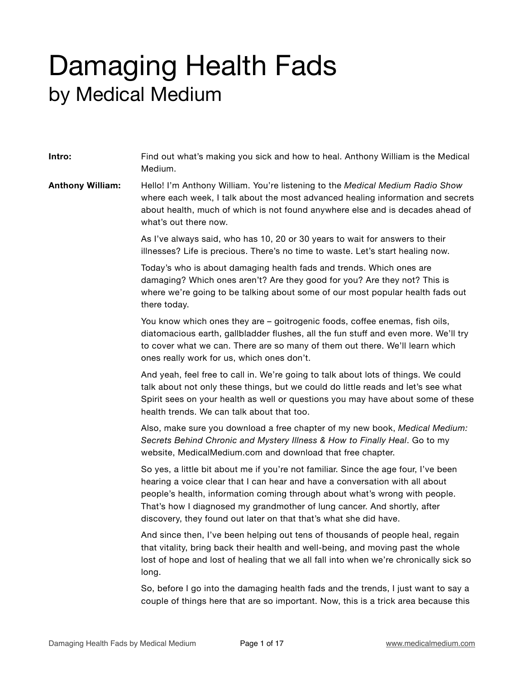## Damaging Health Fads by Medical Medium

**Intro:** Find out what's making you sick and how to heal. Anthony William is the Medical Medium. **Anthony William:** Hello! I'm Anthony William. You're listening to the *Medical Medium Radio Show* where each week, I talk about the most advanced healing information and secrets about health, much of which is not found anywhere else and is decades ahead of what's out there now. As I've always said, who has 10, 20 or 30 years to wait for answers to their illnesses? Life is precious. There's no time to waste. Let's start healing now. Today's who is about damaging health fads and trends. Which ones are damaging? Which ones aren't? Are they good for you? Are they not? This is where we're going to be talking about some of our most popular health fads out there today. You know which ones they are – goitrogenic foods, coffee enemas, fish oils, diatomacious earth, gallbladder flushes, all the fun stuff and even more. We'll try to cover what we can. There are so many of them out there. We'll learn which ones really work for us, which ones don't. And yeah, feel free to call in. We're going to talk about lots of things. We could talk about not only these things, but we could do little reads and let's see what Spirit sees on your health as well or questions you may have about some of these health trends. We can talk about that too. Also, make sure you download a free chapter of my new book, *Medical Medium: Secrets Behind Chronic and Mystery Illness & How to Finally Heal*. Go to my website, MedicalMedium.com and download that free chapter. So yes, a little bit about me if you're not familiar. Since the age four, I've been hearing a voice clear that I can hear and have a conversation with all about people's health, information coming through about what's wrong with people. That's how I diagnosed my grandmother of lung cancer. And shortly, after discovery, they found out later on that that's what she did have. And since then, I've been helping out tens of thousands of people heal, regain that vitality, bring back their health and well-being, and moving past the whole lost of hope and lost of healing that we all fall into when we're chronically sick so long. So, before I go into the damaging health fads and the trends, I just want to say a couple of things here that are so important. Now, this is a trick area because this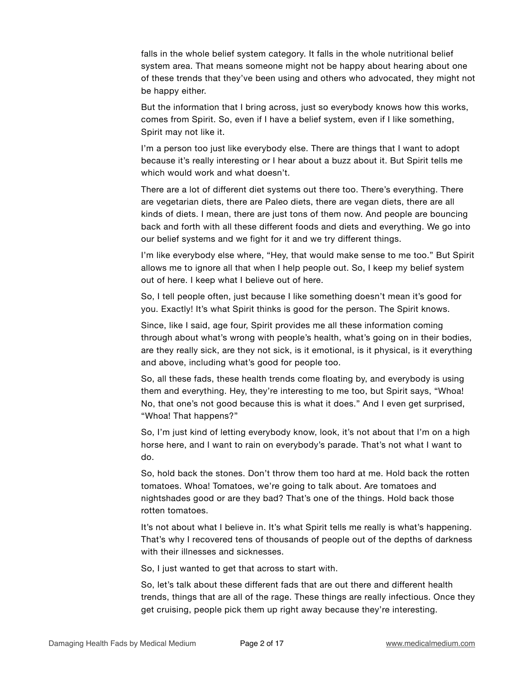falls in the whole belief system category. It falls in the whole nutritional belief system area. That means someone might not be happy about hearing about one of these trends that they've been using and others who advocated, they might not be happy either.

But the information that I bring across, just so everybody knows how this works, comes from Spirit. So, even if I have a belief system, even if I like something, Spirit may not like it.

I'm a person too just like everybody else. There are things that I want to adopt because it's really interesting or I hear about a buzz about it. But Spirit tells me which would work and what doesn't.

There are a lot of different diet systems out there too. There's everything. There are vegetarian diets, there are Paleo diets, there are vegan diets, there are all kinds of diets. I mean, there are just tons of them now. And people are bouncing back and forth with all these different foods and diets and everything. We go into our belief systems and we fight for it and we try different things.

I'm like everybody else where, "Hey, that would make sense to me too." But Spirit allows me to ignore all that when I help people out. So, I keep my belief system out of here. I keep what I believe out of here.

So, I tell people often, just because I like something doesn't mean it's good for you. Exactly! It's what Spirit thinks is good for the person. The Spirit knows.

Since, like I said, age four, Spirit provides me all these information coming through about what's wrong with people's health, what's going on in their bodies, are they really sick, are they not sick, is it emotional, is it physical, is it everything and above, including what's good for people too.

So, all these fads, these health trends come floating by, and everybody is using them and everything. Hey, they're interesting to me too, but Spirit says, "Whoa! No, that one's not good because this is what it does." And I even get surprised, "Whoa! That happens?"

So, I'm just kind of letting everybody know, look, it's not about that I'm on a high horse here, and I want to rain on everybody's parade. That's not what I want to do.

So, hold back the stones. Don't throw them too hard at me. Hold back the rotten tomatoes. Whoa! Tomatoes, we're going to talk about. Are tomatoes and nightshades good or are they bad? That's one of the things. Hold back those rotten tomatoes.

It's not about what I believe in. It's what Spirit tells me really is what's happening. That's why I recovered tens of thousands of people out of the depths of darkness with their illnesses and sicknesses.

So, I just wanted to get that across to start with.

So, let's talk about these different fads that are out there and different health trends, things that are all of the rage. These things are really infectious. Once they get cruising, people pick them up right away because they're interesting.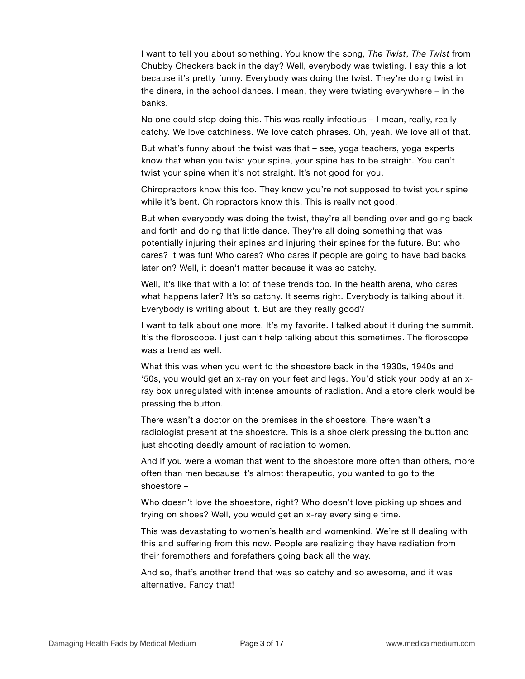I want to tell you about something. You know the song, *The Twist*, *The Twist* from Chubby Checkers back in the day? Well, everybody was twisting. I say this a lot because it's pretty funny. Everybody was doing the twist. They're doing twist in the diners, in the school dances. I mean, they were twisting everywhere – in the banks.

No one could stop doing this. This was really infectious – I mean, really, really catchy. We love catchiness. We love catch phrases. Oh, yeah. We love all of that.

But what's funny about the twist was that – see, yoga teachers, yoga experts know that when you twist your spine, your spine has to be straight. You can't twist your spine when it's not straight. It's not good for you.

Chiropractors know this too. They know you're not supposed to twist your spine while it's bent. Chiropractors know this. This is really not good.

But when everybody was doing the twist, they're all bending over and going back and forth and doing that little dance. They're all doing something that was potentially injuring their spines and injuring their spines for the future. But who cares? It was fun! Who cares? Who cares if people are going to have bad backs later on? Well, it doesn't matter because it was so catchy.

Well, it's like that with a lot of these trends too. In the health arena, who cares what happens later? It's so catchy. It seems right. Everybody is talking about it. Everybody is writing about it. But are they really good?

I want to talk about one more. It's my favorite. I talked about it during the summit. It's the floroscope. I just can't help talking about this sometimes. The floroscope was a trend as well.

What this was when you went to the shoestore back in the 1930s, 1940s and '50s, you would get an x-ray on your feet and legs. You'd stick your body at an xray box unregulated with intense amounts of radiation. And a store clerk would be pressing the button.

There wasn't a doctor on the premises in the shoestore. There wasn't a radiologist present at the shoestore. This is a shoe clerk pressing the button and just shooting deadly amount of radiation to women.

And if you were a woman that went to the shoestore more often than others, more often than men because it's almost therapeutic, you wanted to go to the shoestore –

Who doesn't love the shoestore, right? Who doesn't love picking up shoes and trying on shoes? Well, you would get an x-ray every single time.

This was devastating to women's health and womenkind. We're still dealing with this and suffering from this now. People are realizing they have radiation from their foremothers and forefathers going back all the way.

And so, that's another trend that was so catchy and so awesome, and it was alternative. Fancy that!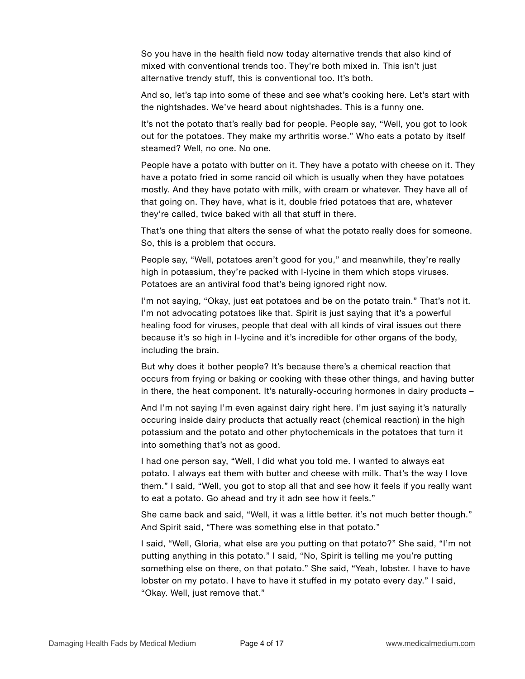So you have in the health field now today alternative trends that also kind of mixed with conventional trends too. They're both mixed in. This isn't just alternative trendy stuff, this is conventional too. It's both.

And so, let's tap into some of these and see what's cooking here. Let's start with the nightshades. We've heard about nightshades. This is a funny one.

It's not the potato that's really bad for people. People say, "Well, you got to look out for the potatoes. They make my arthritis worse." Who eats a potato by itself steamed? Well, no one. No one.

People have a potato with butter on it. They have a potato with cheese on it. They have a potato fried in some rancid oil which is usually when they have potatoes mostly. And they have potato with milk, with cream or whatever. They have all of that going on. They have, what is it, double fried potatoes that are, whatever they're called, twice baked with all that stuff in there.

That's one thing that alters the sense of what the potato really does for someone. So, this is a problem that occurs.

People say, "Well, potatoes aren't good for you," and meanwhile, they're really high in potassium, they're packed with l-lycine in them which stops viruses. Potatoes are an antiviral food that's being ignored right now.

I'm not saying, "Okay, just eat potatoes and be on the potato train." That's not it. I'm not advocating potatoes like that. Spirit is just saying that it's a powerful healing food for viruses, people that deal with all kinds of viral issues out there because it's so high in l-lycine and it's incredible for other organs of the body, including the brain.

But why does it bother people? It's because there's a chemical reaction that occurs from frying or baking or cooking with these other things, and having butter in there, the heat component. It's naturally-occuring hormones in dairy products –

And I'm not saying I'm even against dairy right here. I'm just saying it's naturally occuring inside dairy products that actually react (chemical reaction) in the high potassium and the potato and other phytochemicals in the potatoes that turn it into something that's not as good.

I had one person say, "Well, I did what you told me. I wanted to always eat potato. I always eat them with butter and cheese with milk. That's the way I love them." I said, "Well, you got to stop all that and see how it feels if you really want to eat a potato. Go ahead and try it adn see how it feels."

She came back and said, "Well, it was a little better. it's not much better though." And Spirit said, "There was something else in that potato."

I said, "Well, Gloria, what else are you putting on that potato?" She said, "I'm not putting anything in this potato." I said, "No, Spirit is telling me you're putting something else on there, on that potato." She said, "Yeah, lobster. I have to have lobster on my potato. I have to have it stuffed in my potato every day." I said, "Okay. Well, just remove that."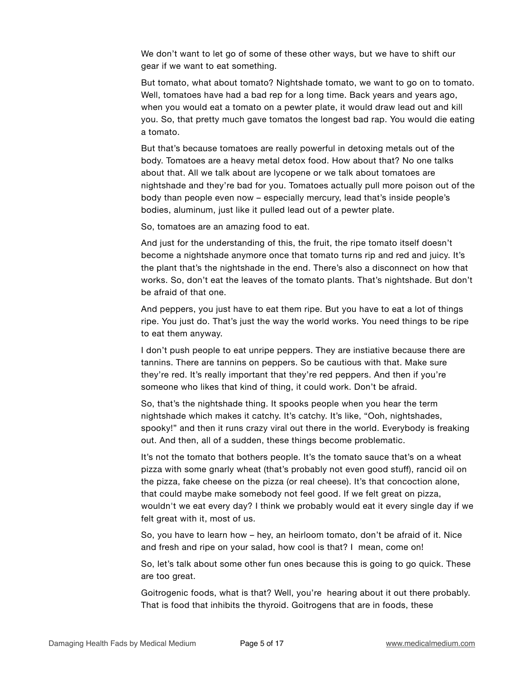We don't want to let go of some of these other ways, but we have to shift our gear if we want to eat something.

But tomato, what about tomato? Nightshade tomato, we want to go on to tomato. Well, tomatoes have had a bad rep for a long time. Back years and years ago, when you would eat a tomato on a pewter plate, it would draw lead out and kill you. So, that pretty much gave tomatos the longest bad rap. You would die eating a tomato.

But that's because tomatoes are really powerful in detoxing metals out of the body. Tomatoes are a heavy metal detox food. How about that? No one talks about that. All we talk about are lycopene or we talk about tomatoes are nightshade and they're bad for you. Tomatoes actually pull more poison out of the body than people even now – especially mercury, lead that's inside people's bodies, aluminum, just like it pulled lead out of a pewter plate.

So, tomatoes are an amazing food to eat.

And just for the understanding of this, the fruit, the ripe tomato itself doesn't become a nightshade anymore once that tomato turns rip and red and juicy. It's the plant that's the nightshade in the end. There's also a disconnect on how that works. So, don't eat the leaves of the tomato plants. That's nightshade. But don't be afraid of that one.

And peppers, you just have to eat them ripe. But you have to eat a lot of things ripe. You just do. That's just the way the world works. You need things to be ripe to eat them anyway.

I don't push people to eat unripe peppers. They are instiative because there are tannins. There are tannins on peppers. So be cautious with that. Make sure they're red. It's really important that they're red peppers. And then if you're someone who likes that kind of thing, it could work. Don't be afraid.

So, that's the nightshade thing. It spooks people when you hear the term nightshade which makes it catchy. It's catchy. It's like, "Ooh, nightshades, spooky!" and then it runs crazy viral out there in the world. Everybody is freaking out. And then, all of a sudden, these things become problematic.

It's not the tomato that bothers people. It's the tomato sauce that's on a wheat pizza with some gnarly wheat (that's probably not even good stuff), rancid oil on the pizza, fake cheese on the pizza (or real cheese). It's that concoction alone, that could maybe make somebody not feel good. If we felt great on pizza, wouldn't we eat every day? I think we probably would eat it every single day if we felt great with it, most of us.

So, you have to learn how – hey, an heirloom tomato, don't be afraid of it. Nice and fresh and ripe on your salad, how cool is that? I mean, come on!

So, let's talk about some other fun ones because this is going to go quick. These are too great.

Goitrogenic foods, what is that? Well, you're hearing about it out there probably. That is food that inhibits the thyroid. Goitrogens that are in foods, these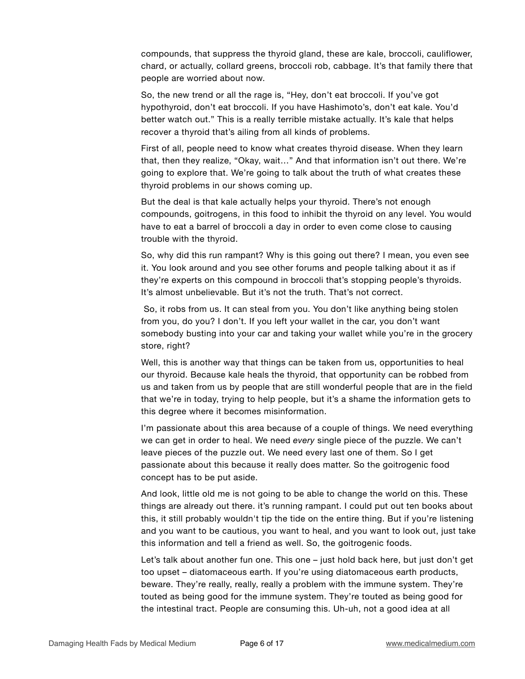compounds, that suppress the thyroid gland, these are kale, broccoli, cauliflower, chard, or actually, collard greens, broccoli rob, cabbage. It's that family there that people are worried about now.

So, the new trend or all the rage is, "Hey, don't eat broccoli. If you've got hypothyroid, don't eat broccoli. If you have Hashimoto's, don't eat kale. You'd better watch out." This is a really terrible mistake actually. It's kale that helps recover a thyroid that's ailing from all kinds of problems.

First of all, people need to know what creates thyroid disease. When they learn that, then they realize, "Okay, wait…" And that information isn't out there. We're going to explore that. We're going to talk about the truth of what creates these thyroid problems in our shows coming up.

But the deal is that kale actually helps your thyroid. There's not enough compounds, goitrogens, in this food to inhibit the thyroid on any level. You would have to eat a barrel of broccoli a day in order to even come close to causing trouble with the thyroid.

So, why did this run rampant? Why is this going out there? I mean, you even see it. You look around and you see other forums and people talking about it as if they're experts on this compound in broccoli that's stopping people's thyroids. It's almost unbelievable. But it's not the truth. That's not correct.

 So, it robs from us. It can steal from you. You don't like anything being stolen from you, do you? I don't. If you left your wallet in the car, you don't want somebody busting into your car and taking your wallet while you're in the grocery store, right?

Well, this is another way that things can be taken from us, opportunities to heal our thyroid. Because kale heals the thyroid, that opportunity can be robbed from us and taken from us by people that are still wonderful people that are in the field that we're in today, trying to help people, but it's a shame the information gets to this degree where it becomes misinformation.

I'm passionate about this area because of a couple of things. We need everything we can get in order to heal. We need *every* single piece of the puzzle. We can't leave pieces of the puzzle out. We need every last one of them. So I get passionate about this because it really does matter. So the goitrogenic food concept has to be put aside.

And look, little old me is not going to be able to change the world on this. These things are already out there. it's running rampant. I could put out ten books about this, it still probably wouldn't tip the tide on the entire thing. But if you're listening and you want to be cautious, you want to heal, and you want to look out, just take this information and tell a friend as well. So, the goitrogenic foods.

Let's talk about another fun one. This one – just hold back here, but just don't get too upset – diatomaceous earth. If you're using diatomaceous earth products, beware. They're really, really, really a problem with the immune system. They're touted as being good for the immune system. They're touted as being good for the intestinal tract. People are consuming this. Uh-uh, not a good idea at all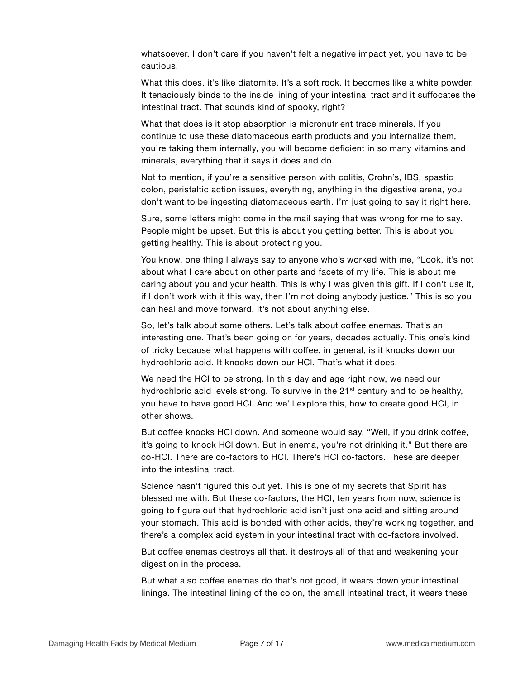whatsoever. I don't care if you haven't felt a negative impact yet, you have to be cautious.

What this does, it's like diatomite. It's a soft rock. It becomes like a white powder. It tenaciously binds to the inside lining of your intestinal tract and it suffocates the intestinal tract. That sounds kind of spooky, right?

What that does is it stop absorption is micronutrient trace minerals. If you continue to use these diatomaceous earth products and you internalize them, you're taking them internally, you will become deficient in so many vitamins and minerals, everything that it says it does and do.

Not to mention, if you're a sensitive person with colitis, Crohn's, IBS, spastic colon, peristaltic action issues, everything, anything in the digestive arena, you don't want to be ingesting diatomaceous earth. I'm just going to say it right here.

Sure, some letters might come in the mail saying that was wrong for me to say. People might be upset. But this is about you getting better. This is about you getting healthy. This is about protecting you.

You know, one thing I always say to anyone who's worked with me, "Look, it's not about what I care about on other parts and facets of my life. This is about me caring about you and your health. This is why I was given this gift. If I don't use it, if I don't work with it this way, then I'm not doing anybody justice." This is so you can heal and move forward. It's not about anything else.

So, let's talk about some others. Let's talk about coffee enemas. That's an interesting one. That's been going on for years, decades actually. This one's kind of tricky because what happens with coffee, in general, is it knocks down our hydrochloric acid. It knocks down our HCl. That's what it does.

We need the HCl to be strong. In this day and age right now, we need our hydrochloric acid levels strong. To survive in the  $21^{st}$  century and to be healthy, you have to have good HCl. And we'll explore this, how to create good HCl, in other shows.

But coffee knocks HCl down. And someone would say, "Well, if you drink coffee, it's going to knock HCl down. But in enema, you're not drinking it." But there are co-HCl. There are co-factors to HCl. There's HCl co-factors. These are deeper into the intestinal tract.

Science hasn't figured this out yet. This is one of my secrets that Spirit has blessed me with. But these co-factors, the HCl, ten years from now, science is going to figure out that hydrochloric acid isn't just one acid and sitting around your stomach. This acid is bonded with other acids, they're working together, and there's a complex acid system in your intestinal tract with co-factors involved.

But coffee enemas destroys all that. it destroys all of that and weakening your digestion in the process.

But what also coffee enemas do that's not good, it wears down your intestinal linings. The intestinal lining of the colon, the small intestinal tract, it wears these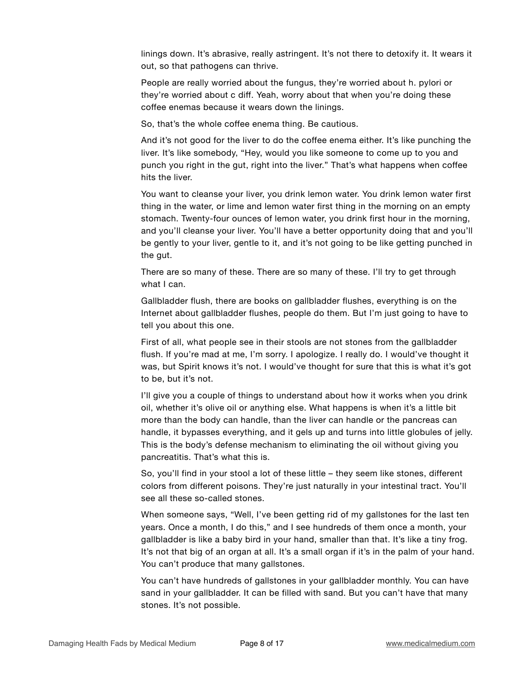linings down. It's abrasive, really astringent. It's not there to detoxify it. It wears it out, so that pathogens can thrive.

People are really worried about the fungus, they're worried about h. pylori or they're worried about c diff. Yeah, worry about that when you're doing these coffee enemas because it wears down the linings.

So, that's the whole coffee enema thing. Be cautious.

And it's not good for the liver to do the coffee enema either. It's like punching the liver. It's like somebody, "Hey, would you like someone to come up to you and punch you right in the gut, right into the liver." That's what happens when coffee hits the liver.

You want to cleanse your liver, you drink lemon water. You drink lemon water first thing in the water, or lime and lemon water first thing in the morning on an empty stomach. Twenty-four ounces of lemon water, you drink first hour in the morning, and you'll cleanse your liver. You'll have a better opportunity doing that and you'll be gently to your liver, gentle to it, and it's not going to be like getting punched in the gut.

There are so many of these. There are so many of these. I'll try to get through what I can.

Gallbladder flush, there are books on gallbladder flushes, everything is on the Internet about gallbladder flushes, people do them. But I'm just going to have to tell you about this one.

First of all, what people see in their stools are not stones from the gallbladder flush. If you're mad at me, I'm sorry. I apologize. I really do. I would've thought it was, but Spirit knows it's not. I would've thought for sure that this is what it's got to be, but it's not.

I'll give you a couple of things to understand about how it works when you drink oil, whether it's olive oil or anything else. What happens is when it's a little bit more than the body can handle, than the liver can handle or the pancreas can handle, it bypasses everything, and it gels up and turns into little globules of jelly. This is the body's defense mechanism to eliminating the oil without giving you pancreatitis. That's what this is.

So, you'll find in your stool a lot of these little – they seem like stones, different colors from different poisons. They're just naturally in your intestinal tract. You'll see all these so-called stones.

When someone says, "Well, I've been getting rid of my gallstones for the last ten years. Once a month, I do this," and I see hundreds of them once a month, your gallbladder is like a baby bird in your hand, smaller than that. It's like a tiny frog. It's not that big of an organ at all. It's a small organ if it's in the palm of your hand. You can't produce that many gallstones.

You can't have hundreds of gallstones in your gallbladder monthly. You can have sand in your gallbladder. It can be filled with sand. But you can't have that many stones. It's not possible.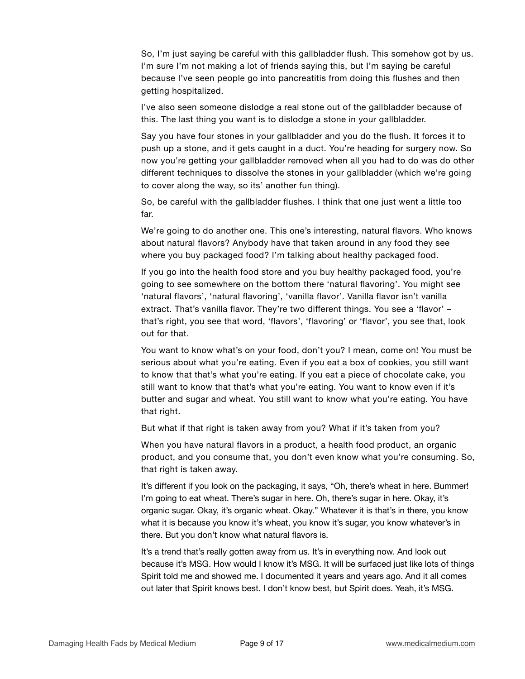So, I'm just saying be careful with this gallbladder flush. This somehow got by us. I'm sure I'm not making a lot of friends saying this, but I'm saying be careful because I've seen people go into pancreatitis from doing this flushes and then getting hospitalized.

I've also seen someone dislodge a real stone out of the gallbladder because of this. The last thing you want is to dislodge a stone in your gallbladder.

Say you have four stones in your gallbladder and you do the flush. It forces it to push up a stone, and it gets caught in a duct. You're heading for surgery now. So now you're getting your gallbladder removed when all you had to do was do other different techniques to dissolve the stones in your gallbladder (which we're going to cover along the way, so its' another fun thing).

So, be careful with the gallbladder flushes. I think that one just went a little too far.

We're going to do another one. This one's interesting, natural flavors. Who knows about natural flavors? Anybody have that taken around in any food they see where you buy packaged food? I'm talking about healthy packaged food.

If you go into the health food store and you buy healthy packaged food, you're going to see somewhere on the bottom there 'natural flavoring'. You might see 'natural flavors', 'natural flavoring', 'vanilla flavor'. Vanilla flavor isn't vanilla extract. That's vanilla flavor. They're two different things. You see a 'flavor' – that's right, you see that word, 'flavors', 'flavoring' or 'flavor', you see that, look out for that.

You want to know what's on your food, don't you? I mean, come on! You must be serious about what you're eating. Even if you eat a box of cookies, you still want to know that that's what you're eating. If you eat a piece of chocolate cake, you still want to know that that's what you're eating. You want to know even if it's butter and sugar and wheat. You still want to know what you're eating. You have that right.

But what if that right is taken away from you? What if it's taken from you?

When you have natural flavors in a product, a health food product, an organic product, and you consume that, you don't even know what you're consuming. So, that right is taken away.

It's different if you look on the packaging, it says, "Oh, there's wheat in here. Bummer! I'm going to eat wheat. There's sugar in here. Oh, there's sugar in here. Okay, it's organic sugar. Okay, it's organic wheat. Okay." Whatever it is that's in there, you know what it is because you know it's wheat, you know it's sugar, you know whatever's in there. But you don't know what natural flavors is.

It's a trend that's really gotten away from us. It's in everything now. And look out because it's MSG. How would I know it's MSG. It will be surfaced just like lots of things Spirit told me and showed me. I documented it years and years ago. And it all comes out later that Spirit knows best. I don't know best, but Spirit does. Yeah, it's MSG.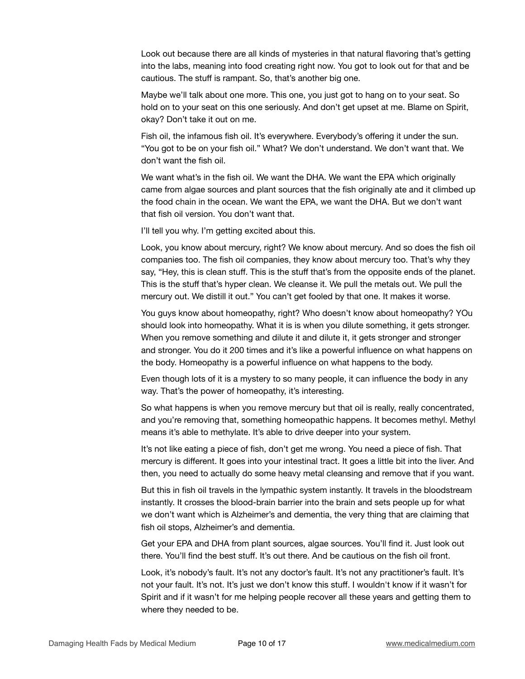Look out because there are all kinds of mysteries in that natural flavoring that's getting into the labs, meaning into food creating right now. You got to look out for that and be cautious. The stuff is rampant. So, that's another big one.

Maybe we'll talk about one more. This one, you just got to hang on to your seat. So hold on to your seat on this one seriously. And don't get upset at me. Blame on Spirit, okay? Don't take it out on me.

Fish oil, the infamous fish oil. It's everywhere. Everybody's offering it under the sun. "You got to be on your fish oil." What? We don't understand. We don't want that. We don't want the fish oil.

We want what's in the fish oil. We want the DHA. We want the EPA which originally came from algae sources and plant sources that the fish originally ate and it climbed up the food chain in the ocean. We want the EPA, we want the DHA. But we don't want that fish oil version. You don't want that.

I'll tell you why. I'm getting excited about this.

Look, you know about mercury, right? We know about mercury. And so does the fish oil companies too. The fish oil companies, they know about mercury too. That's why they say, "Hey, this is clean stuff. This is the stuff that's from the opposite ends of the planet. This is the stuff that's hyper clean. We cleanse it. We pull the metals out. We pull the mercury out. We distill it out." You can't get fooled by that one. It makes it worse.

You guys know about homeopathy, right? Who doesn't know about homeopathy? YOu should look into homeopathy. What it is is when you dilute something, it gets stronger. When you remove something and dilute it and dilute it, it gets stronger and stronger and stronger. You do it 200 times and it's like a powerful influence on what happens on the body. Homeopathy is a powerful influence on what happens to the body.

Even though lots of it is a mystery to so many people, it can influence the body in any way. That's the power of homeopathy, it's interesting.

So what happens is when you remove mercury but that oil is really, really concentrated, and you're removing that, something homeopathic happens. It becomes methyl. Methyl means it's able to methylate. It's able to drive deeper into your system.

It's not like eating a piece of fish, don't get me wrong. You need a piece of fish. That mercury is different. It goes into your intestinal tract. It goes a little bit into the liver. And then, you need to actually do some heavy metal cleansing and remove that if you want.

But this in fish oil travels in the lympathic system instantly. It travels in the bloodstream instantly. It crosses the blood-brain barrier into the brain and sets people up for what we don't want which is Alzheimer's and dementia, the very thing that are claiming that fish oil stops, Alzheimer's and dementia.

Get your EPA and DHA from plant sources, algae sources. You'll find it. Just look out there. You'll find the best stuff. It's out there. And be cautious on the fish oil front.

Look, it's nobody's fault. It's not any doctor's fault. It's not any practitioner's fault. It's not your fault. It's not. It's just we don't know this stuff. I wouldn't know if it wasn't for Spirit and if it wasn't for me helping people recover all these years and getting them to where they needed to be.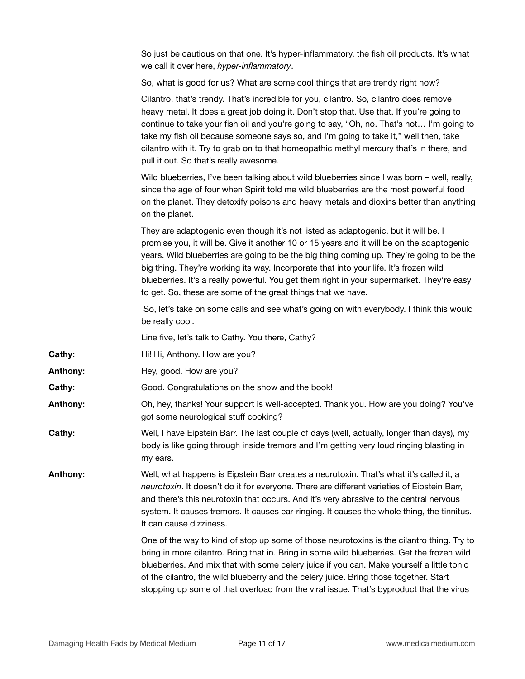So just be cautious on that one. It's hyper-inflammatory, the fish oil products. It's what we call it over here, *hyper-inflammatory*.

So, what is good for us? What are some cool things that are trendy right now?

Cilantro, that's trendy. That's incredible for you, cilantro. So, cilantro does remove heavy metal. It does a great job doing it. Don't stop that. Use that. If you're going to continue to take your fish oil and you're going to say, "Oh, no. That's not… I'm going to take my fish oil because someone says so, and I'm going to take it," well then, take cilantro with it. Try to grab on to that homeopathic methyl mercury that's in there, and pull it out. So that's really awesome.

Wild blueberries, I've been talking about wild blueberries since I was born – well, really, since the age of four when Spirit told me wild blueberries are the most powerful food on the planet. They detoxify poisons and heavy metals and dioxins better than anything on the planet.

They are adaptogenic even though it's not listed as adaptogenic, but it will be. I promise you, it will be. Give it another 10 or 15 years and it will be on the adaptogenic years. Wild blueberries are going to be the big thing coming up. They're going to be the big thing. They're working its way. Incorporate that into your life. It's frozen wild blueberries. It's a really powerful. You get them right in your supermarket. They're easy to get. So, these are some of the great things that we have.

 So, let's take on some calls and see what's going on with everybody. I think this would be really cool.

Line five, let's talk to Cathy. You there, Cathy?

- **Cathy:** Hi! Hi, Anthony. How are you?
- **Anthony:** Hey, good. How are you?
- **Cathy:** Good. Congratulations on the show and the book!
- **Anthony:** Oh, hey, thanks! Your support is well-accepted. Thank you. How are you doing? You've got some neurological stuff cooking?
- **Cathy:** Well, I have Eipstein Barr. The last couple of days (well, actually, longer than days), my body is like going through inside tremors and I'm getting very loud ringing blasting in my ears.

**Anthony:** Well, what happens is Eipstein Barr creates a neurotoxin. That's what it's called it, a *neurotoxin*. It doesn't do it for everyone. There are different varieties of Eipstein Barr, and there's this neurotoxin that occurs. And it's very abrasive to the central nervous system. It causes tremors. It causes ear-ringing. It causes the whole thing, the tinnitus. It can cause dizziness.

> One of the way to kind of stop up some of those neurotoxins is the cilantro thing. Try to bring in more cilantro. Bring that in. Bring in some wild blueberries. Get the frozen wild blueberries. And mix that with some celery juice if you can. Make yourself a little tonic of the cilantro, the wild blueberry and the celery juice. Bring those together. Start stopping up some of that overload from the viral issue. That's byproduct that the virus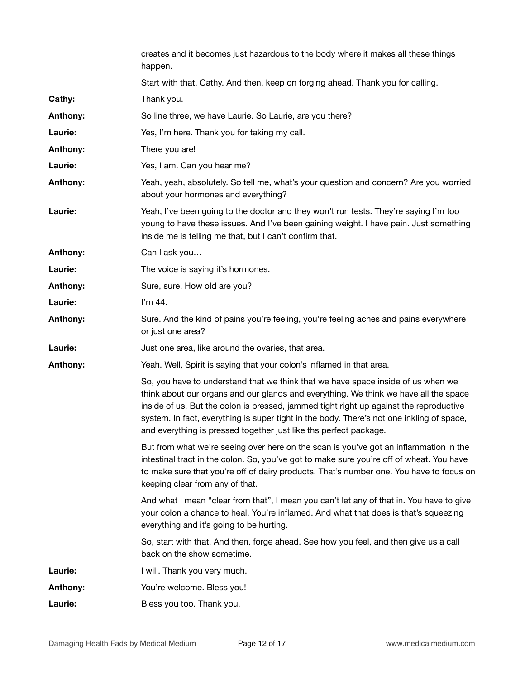|                 | creates and it becomes just hazardous to the body where it makes all these things<br>happen.                                                                                                                                                                                                                                                                                                                                         |
|-----------------|--------------------------------------------------------------------------------------------------------------------------------------------------------------------------------------------------------------------------------------------------------------------------------------------------------------------------------------------------------------------------------------------------------------------------------------|
|                 | Start with that, Cathy. And then, keep on forging ahead. Thank you for calling.                                                                                                                                                                                                                                                                                                                                                      |
| Cathy:          | Thank you.                                                                                                                                                                                                                                                                                                                                                                                                                           |
| Anthony:        | So line three, we have Laurie. So Laurie, are you there?                                                                                                                                                                                                                                                                                                                                                                             |
| Laurie:         | Yes, I'm here. Thank you for taking my call.                                                                                                                                                                                                                                                                                                                                                                                         |
| Anthony:        | There you are!                                                                                                                                                                                                                                                                                                                                                                                                                       |
| Laurie:         | Yes, I am. Can you hear me?                                                                                                                                                                                                                                                                                                                                                                                                          |
| Anthony:        | Yeah, yeah, absolutely. So tell me, what's your question and concern? Are you worried<br>about your hormones and everything?                                                                                                                                                                                                                                                                                                         |
| Laurie:         | Yeah, I've been going to the doctor and they won't run tests. They're saying I'm too<br>young to have these issues. And I've been gaining weight. I have pain. Just something<br>inside me is telling me that, but I can't confirm that.                                                                                                                                                                                             |
| <b>Anthony:</b> | Can I ask you                                                                                                                                                                                                                                                                                                                                                                                                                        |
| Laurie:         | The voice is saying it's hormones.                                                                                                                                                                                                                                                                                                                                                                                                   |
| Anthony:        | Sure, sure. How old are you?                                                                                                                                                                                                                                                                                                                                                                                                         |
| Laurie:         | I'm 44.                                                                                                                                                                                                                                                                                                                                                                                                                              |
| Anthony:        | Sure. And the kind of pains you're feeling, you're feeling aches and pains everywhere<br>or just one area?                                                                                                                                                                                                                                                                                                                           |
| Laurie:         | Just one area, like around the ovaries, that area.                                                                                                                                                                                                                                                                                                                                                                                   |
| Anthony:        | Yeah. Well, Spirit is saying that your colon's inflamed in that area.                                                                                                                                                                                                                                                                                                                                                                |
|                 | So, you have to understand that we think that we have space inside of us when we<br>think about our organs and our glands and everything. We think we have all the space<br>inside of us. But the colon is pressed, jammed tight right up against the reproductive<br>system. In fact, everything is super tight in the body. There's not one inkling of space,<br>and everything is pressed together just like ths perfect package. |
|                 | But from what we're seeing over here on the scan is you've got an inflammation in the<br>intestinal tract in the colon. So, you've got to make sure you're off of wheat. You have<br>to make sure that you're off of dairy products. That's number one. You have to focus on<br>keeping clear from any of that.                                                                                                                      |
|                 | And what I mean "clear from that", I mean you can't let any of that in. You have to give<br>your colon a chance to heal. You're inflamed. And what that does is that's squeezing<br>everything and it's going to be hurting.                                                                                                                                                                                                         |
|                 | So, start with that. And then, forge ahead. See how you feel, and then give us a call<br>back on the show sometime.                                                                                                                                                                                                                                                                                                                  |
| Laurie:         | I will. Thank you very much.                                                                                                                                                                                                                                                                                                                                                                                                         |
| Anthony:        | You're welcome. Bless you!                                                                                                                                                                                                                                                                                                                                                                                                           |
| Laurie:         | Bless you too. Thank you.                                                                                                                                                                                                                                                                                                                                                                                                            |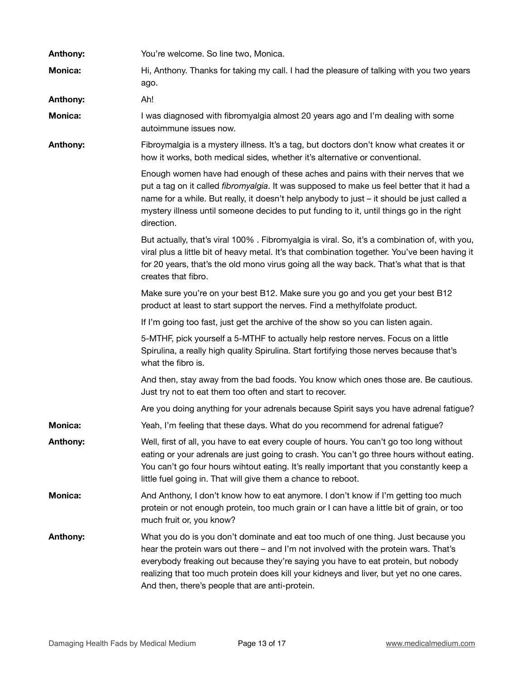| Anthony:        | You're welcome. So line two, Monica.                                                                                                                                                                                                                                                                                                                                                                         |
|-----------------|--------------------------------------------------------------------------------------------------------------------------------------------------------------------------------------------------------------------------------------------------------------------------------------------------------------------------------------------------------------------------------------------------------------|
| <b>Monica:</b>  | Hi, Anthony. Thanks for taking my call. I had the pleasure of talking with you two years<br>ago.                                                                                                                                                                                                                                                                                                             |
| Anthony:        | Ah!                                                                                                                                                                                                                                                                                                                                                                                                          |
| <b>Monica:</b>  | I was diagnosed with fibromyalgia almost 20 years ago and I'm dealing with some<br>autoimmune issues now.                                                                                                                                                                                                                                                                                                    |
| Anthony:        | Fibroymalgia is a mystery illness. It's a tag, but doctors don't know what creates it or<br>how it works, both medical sides, whether it's alternative or conventional.                                                                                                                                                                                                                                      |
|                 | Enough women have had enough of these aches and pains with their nerves that we<br>put a tag on it called fibromyalgia. It was supposed to make us feel better that it had a<br>name for a while. But really, it doesn't help anybody to just - it should be just called a<br>mystery illness until someone decides to put funding to it, until things go in the right<br>direction.                         |
|                 | But actually, that's viral 100%. Fibromyalgia is viral. So, it's a combination of, with you,<br>viral plus a little bit of heavy metal. It's that combination together. You've been having it<br>for 20 years, that's the old mono virus going all the way back. That's what that is that<br>creates that fibro.                                                                                             |
|                 | Make sure you're on your best B12. Make sure you go and you get your best B12<br>product at least to start support the nerves. Find a methylfolate product.                                                                                                                                                                                                                                                  |
|                 | If I'm going too fast, just get the archive of the show so you can listen again.                                                                                                                                                                                                                                                                                                                             |
|                 | 5-MTHF, pick yourself a 5-MTHF to actually help restore nerves. Focus on a little<br>Spirulina, a really high quality Spirulina. Start fortifying those nerves because that's<br>what the fibro is.                                                                                                                                                                                                          |
|                 | And then, stay away from the bad foods. You know which ones those are. Be cautious.<br>Just try not to eat them too often and start to recover.                                                                                                                                                                                                                                                              |
|                 | Are you doing anything for your adrenals because Spirit says you have adrenal fatigue?                                                                                                                                                                                                                                                                                                                       |
| <b>Monica:</b>  | Yeah, I'm feeling that these days. What do you recommend for adrenal fatigue?                                                                                                                                                                                                                                                                                                                                |
| Anthony:        | Well, first of all, you have to eat every couple of hours. You can't go too long without<br>eating or your adrenals are just going to crash. You can't go three hours without eating.<br>You can't go four hours wihtout eating. It's really important that you constantly keep a<br>little fuel going in. That will give them a chance to reboot.                                                           |
| <b>Monica:</b>  | And Anthony, I don't know how to eat anymore. I don't know if I'm getting too much<br>protein or not enough protein, too much grain or I can have a little bit of grain, or too<br>much fruit or, you know?                                                                                                                                                                                                  |
| <b>Anthony:</b> | What you do is you don't dominate and eat too much of one thing. Just because you<br>hear the protein wars out there – and I'm not involved with the protein wars. That's<br>everybody freaking out because they're saying you have to eat protein, but nobody<br>realizing that too much protein does kill your kidneys and liver, but yet no one cares.<br>And then, there's people that are anti-protein. |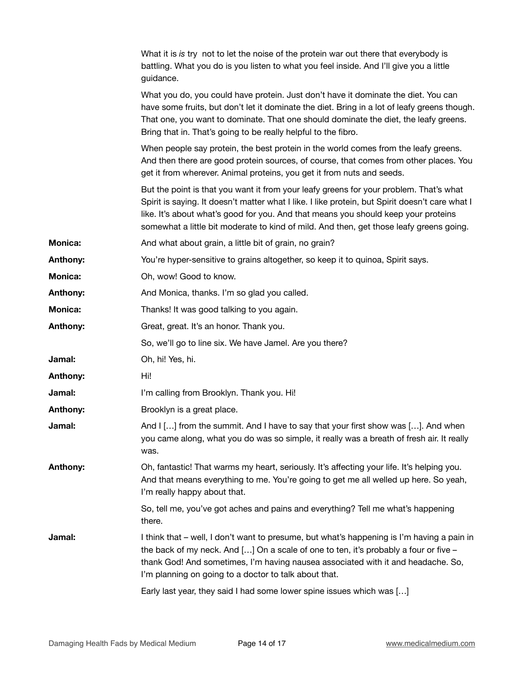|                | What it is is try not to let the noise of the protein war out there that everybody is<br>battling. What you do is you listen to what you feel inside. And I'll give you a little<br>guidance.                                                                                                                                                                              |
|----------------|----------------------------------------------------------------------------------------------------------------------------------------------------------------------------------------------------------------------------------------------------------------------------------------------------------------------------------------------------------------------------|
|                | What you do, you could have protein. Just don't have it dominate the diet. You can<br>have some fruits, but don't let it dominate the diet. Bring in a lot of leafy greens though.<br>That one, you want to dominate. That one should dominate the diet, the leafy greens.<br>Bring that in. That's going to be really helpful to the fibro.                               |
|                | When people say protein, the best protein in the world comes from the leafy greens.<br>And then there are good protein sources, of course, that comes from other places. You<br>get it from wherever. Animal proteins, you get it from nuts and seeds.                                                                                                                     |
|                | But the point is that you want it from your leafy greens for your problem. That's what<br>Spirit is saying. It doesn't matter what I like. I like protein, but Spirit doesn't care what I<br>like. It's about what's good for you. And that means you should keep your proteins<br>somewhat a little bit moderate to kind of mild. And then, get those leafy greens going. |
| <b>Monica:</b> | And what about grain, a little bit of grain, no grain?                                                                                                                                                                                                                                                                                                                     |
| Anthony:       | You're hyper-sensitive to grains altogether, so keep it to quinoa, Spirit says.                                                                                                                                                                                                                                                                                            |
| <b>Monica:</b> | Oh, wow! Good to know.                                                                                                                                                                                                                                                                                                                                                     |
| Anthony:       | And Monica, thanks. I'm so glad you called.                                                                                                                                                                                                                                                                                                                                |
| <b>Monica:</b> | Thanks! It was good talking to you again.                                                                                                                                                                                                                                                                                                                                  |
| Anthony:       | Great, great. It's an honor. Thank you.                                                                                                                                                                                                                                                                                                                                    |
|                | So, we'll go to line six. We have Jamel. Are you there?                                                                                                                                                                                                                                                                                                                    |
| Jamal:         | Oh, hi! Yes, hi.                                                                                                                                                                                                                                                                                                                                                           |
| Anthony:       | Hi!                                                                                                                                                                                                                                                                                                                                                                        |
| Jamal:         | I'm calling from Brooklyn. Thank you. Hi!                                                                                                                                                                                                                                                                                                                                  |
| Anthony:       | Brooklyn is a great place.                                                                                                                                                                                                                                                                                                                                                 |
| Jamal:         | And I [] from the summit. And I have to say that your first show was []. And when<br>you came along, what you do was so simple, it really was a breath of fresh air. It really<br>was.                                                                                                                                                                                     |
| Anthony:       | Oh, fantastic! That warms my heart, seriously. It's affecting your life. It's helping you.<br>And that means everything to me. You're going to get me all welled up here. So yeah,<br>I'm really happy about that.                                                                                                                                                         |
|                | So, tell me, you've got aches and pains and everything? Tell me what's happening<br>there.                                                                                                                                                                                                                                                                                 |
| Jamal:         | I think that – well, I don't want to presume, but what's happening is I'm having a pain in<br>the back of my neck. And [] On a scale of one to ten, it's probably a four or five -<br>thank God! And sometimes, I'm having nausea associated with it and headache. So,<br>I'm planning on going to a doctor to talk about that.                                            |
|                | Early last year, they said I had some lower spine issues which was []                                                                                                                                                                                                                                                                                                      |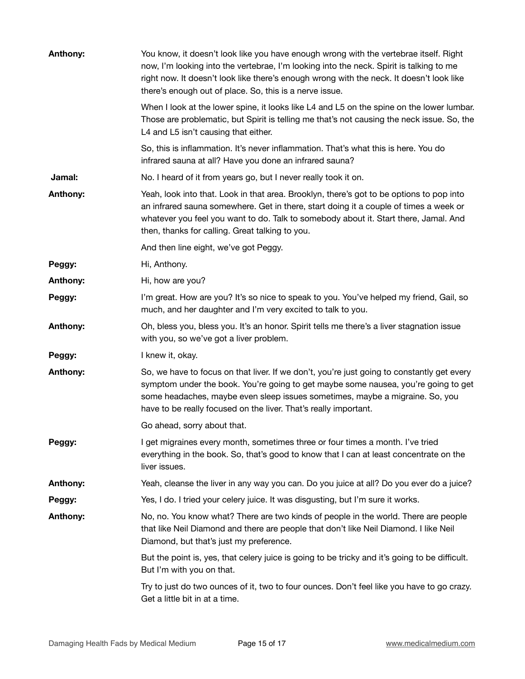| <b>Anthony:</b> | You know, it doesn't look like you have enough wrong with the vertebrae itself. Right<br>now, I'm looking into the vertebrae, I'm looking into the neck. Spirit is talking to me<br>right now. It doesn't look like there's enough wrong with the neck. It doesn't look like<br>there's enough out of place. So, this is a nerve issue. |
|-----------------|-----------------------------------------------------------------------------------------------------------------------------------------------------------------------------------------------------------------------------------------------------------------------------------------------------------------------------------------|
|                 | When I look at the lower spine, it looks like L4 and L5 on the spine on the lower lumbar.<br>Those are problematic, but Spirit is telling me that's not causing the neck issue. So, the<br>L4 and L5 isn't causing that either.                                                                                                         |
|                 | So, this is inflammation. It's never inflammation. That's what this is here. You do<br>infrared sauna at all? Have you done an infrared sauna?                                                                                                                                                                                          |
| Jamal:          | No. I heard of it from years go, but I never really took it on.                                                                                                                                                                                                                                                                         |
| Anthony:        | Yeah, look into that. Look in that area. Brooklyn, there's got to be options to pop into<br>an infrared sauna somewhere. Get in there, start doing it a couple of times a week or<br>whatever you feel you want to do. Talk to somebody about it. Start there, Jamal. And<br>then, thanks for calling. Great talking to you.            |
|                 | And then line eight, we've got Peggy.                                                                                                                                                                                                                                                                                                   |
| Peggy:          | Hi, Anthony.                                                                                                                                                                                                                                                                                                                            |
| Anthony:        | Hi, how are you?                                                                                                                                                                                                                                                                                                                        |
| Peggy:          | I'm great. How are you? It's so nice to speak to you. You've helped my friend, Gail, so<br>much, and her daughter and I'm very excited to talk to you.                                                                                                                                                                                  |
| Anthony:        | Oh, bless you, bless you. It's an honor. Spirit tells me there's a liver stagnation issue<br>with you, so we've got a liver problem.                                                                                                                                                                                                    |
| Peggy:          | I knew it, okay.                                                                                                                                                                                                                                                                                                                        |
| Anthony:        | So, we have to focus on that liver. If we don't, you're just going to constantly get every<br>symptom under the book. You're going to get maybe some nausea, you're going to get<br>some headaches, maybe even sleep issues sometimes, maybe a migraine. So, you<br>have to be really focused on the liver. That's really important.    |
|                 | Go ahead, sorry about that.                                                                                                                                                                                                                                                                                                             |
| Peggy:          | I get migraines every month, sometimes three or four times a month. I've tried<br>everything in the book. So, that's good to know that I can at least concentrate on the<br>liver issues.                                                                                                                                               |
| Anthony:        | Yeah, cleanse the liver in any way you can. Do you juice at all? Do you ever do a juice?                                                                                                                                                                                                                                                |
| Peggy:          | Yes, I do. I tried your celery juice. It was disgusting, but I'm sure it works.                                                                                                                                                                                                                                                         |
| Anthony:        | No, no. You know what? There are two kinds of people in the world. There are people<br>that like Neil Diamond and there are people that don't like Neil Diamond. I like Neil<br>Diamond, but that's just my preference.                                                                                                                 |
|                 | But the point is, yes, that celery juice is going to be tricky and it's going to be difficult.<br>But I'm with you on that.                                                                                                                                                                                                             |
|                 | Try to just do two ounces of it, two to four ounces. Don't feel like you have to go crazy.<br>Get a little bit in at a time.                                                                                                                                                                                                            |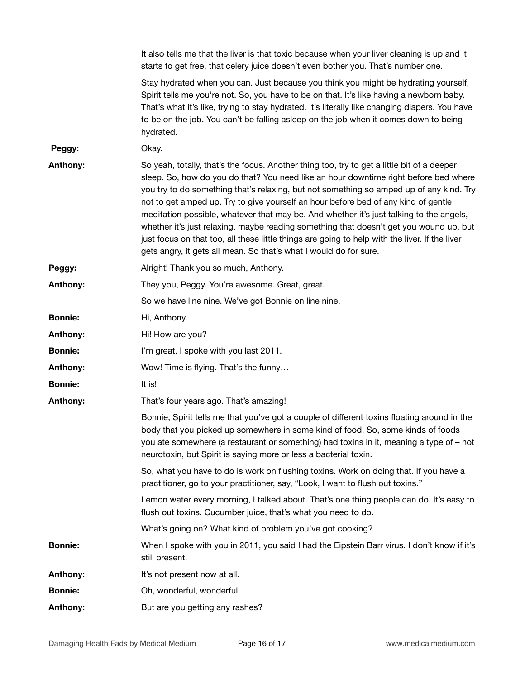|                 | It also tells me that the liver is that toxic because when your liver cleaning is up and it<br>starts to get free, that celery juice doesn't even bother you. That's number one.                                                                                                                                                                                                                                                                                                                                                                                                                                                                                                                                                |
|-----------------|---------------------------------------------------------------------------------------------------------------------------------------------------------------------------------------------------------------------------------------------------------------------------------------------------------------------------------------------------------------------------------------------------------------------------------------------------------------------------------------------------------------------------------------------------------------------------------------------------------------------------------------------------------------------------------------------------------------------------------|
|                 | Stay hydrated when you can. Just because you think you might be hydrating yourself,<br>Spirit tells me you're not. So, you have to be on that. It's like having a newborn baby.<br>That's what it's like, trying to stay hydrated. It's literally like changing diapers. You have<br>to be on the job. You can't be falling asleep on the job when it comes down to being<br>hydrated.                                                                                                                                                                                                                                                                                                                                          |
| Peggy:          | Okay.                                                                                                                                                                                                                                                                                                                                                                                                                                                                                                                                                                                                                                                                                                                           |
| Anthony:        | So yeah, totally, that's the focus. Another thing too, try to get a little bit of a deeper<br>sleep. So, how do you do that? You need like an hour downtime right before bed where<br>you try to do something that's relaxing, but not something so amped up of any kind. Try<br>not to get amped up. Try to give yourself an hour before bed of any kind of gentle<br>meditation possible, whatever that may be. And whether it's just talking to the angels,<br>whether it's just relaxing, maybe reading something that doesn't get you wound up, but<br>just focus on that too, all these little things are going to help with the liver. If the liver<br>gets angry, it gets all mean. So that's what I would do for sure. |
| Peggy:          | Alright! Thank you so much, Anthony.                                                                                                                                                                                                                                                                                                                                                                                                                                                                                                                                                                                                                                                                                            |
| Anthony:        | They you, Peggy. You're awesome. Great, great.                                                                                                                                                                                                                                                                                                                                                                                                                                                                                                                                                                                                                                                                                  |
|                 | So we have line nine. We've got Bonnie on line nine.                                                                                                                                                                                                                                                                                                                                                                                                                                                                                                                                                                                                                                                                            |
| <b>Bonnie:</b>  | Hi, Anthony.                                                                                                                                                                                                                                                                                                                                                                                                                                                                                                                                                                                                                                                                                                                    |
| <b>Anthony:</b> | Hi! How are you?                                                                                                                                                                                                                                                                                                                                                                                                                                                                                                                                                                                                                                                                                                                |
| <b>Bonnie:</b>  | I'm great. I spoke with you last 2011.                                                                                                                                                                                                                                                                                                                                                                                                                                                                                                                                                                                                                                                                                          |
| <b>Anthony:</b> | Wow! Time is flying. That's the funny                                                                                                                                                                                                                                                                                                                                                                                                                                                                                                                                                                                                                                                                                           |
| <b>Bonnie:</b>  | It is!                                                                                                                                                                                                                                                                                                                                                                                                                                                                                                                                                                                                                                                                                                                          |
| Anthony:        | That's four years ago. That's amazing!                                                                                                                                                                                                                                                                                                                                                                                                                                                                                                                                                                                                                                                                                          |
|                 | Bonnie, Spirit tells me that you've got a couple of different toxins floating around in the<br>body that you picked up somewhere in some kind of food. So, some kinds of foods<br>you ate somewhere (a restaurant or something) had toxins in it, meaning a type of - not<br>neurotoxin, but Spirit is saying more or less a bacterial toxin.                                                                                                                                                                                                                                                                                                                                                                                   |
|                 | So, what you have to do is work on flushing toxins. Work on doing that. If you have a<br>practitioner, go to your practitioner, say, "Look, I want to flush out toxins."                                                                                                                                                                                                                                                                                                                                                                                                                                                                                                                                                        |
|                 | Lemon water every morning, I talked about. That's one thing people can do. It's easy to<br>flush out toxins. Cucumber juice, that's what you need to do.                                                                                                                                                                                                                                                                                                                                                                                                                                                                                                                                                                        |
|                 | What's going on? What kind of problem you've got cooking?                                                                                                                                                                                                                                                                                                                                                                                                                                                                                                                                                                                                                                                                       |
| <b>Bonnie:</b>  | When I spoke with you in 2011, you said I had the Eipstein Barr virus. I don't know if it's<br>still present.                                                                                                                                                                                                                                                                                                                                                                                                                                                                                                                                                                                                                   |
| <b>Anthony:</b> | It's not present now at all.                                                                                                                                                                                                                                                                                                                                                                                                                                                                                                                                                                                                                                                                                                    |
| <b>Bonnie:</b>  | Oh, wonderful, wonderful!                                                                                                                                                                                                                                                                                                                                                                                                                                                                                                                                                                                                                                                                                                       |
| Anthony:        | But are you getting any rashes?                                                                                                                                                                                                                                                                                                                                                                                                                                                                                                                                                                                                                                                                                                 |